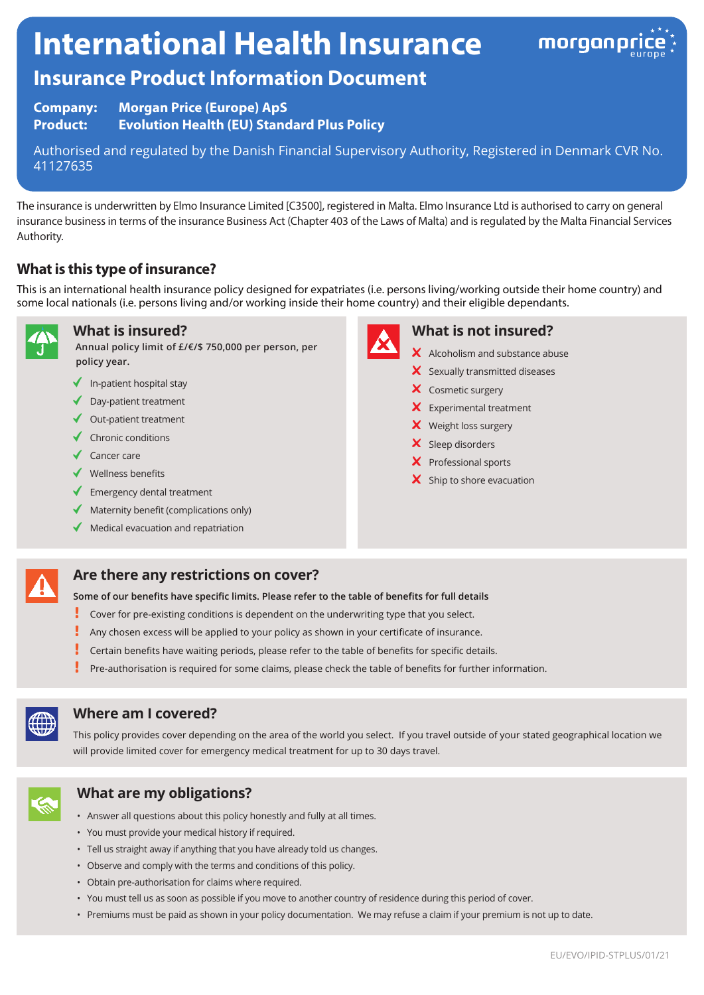# **International Health Insurance**



# **Insurance Product Information Document**

**Company: Morgan Price (Europe) ApS Product: Evolution Health (EU) Standard Plus Policy**

Authorised and regulated by the Danish Financial Supervisory Authority, Registered in Denmark CVR No. 41127635

The insurance is underwritten by Elmo Insurance Limited [C3500], registered in Malta. Elmo Insurance Ltd is authorised to carry on general insurance business in terms of the insurance Business Act (Chapter 403 of the Laws of Malta) and is regulated by the Malta Financial Services Authority.

## **What is this type of insurance?**

This is an international health insurance policy designed for expatriates (i.e. persons living/working outside their home country) and some local nationals (i.e. persons living and/or working inside their home country) and their eligible dependants.



#### **What is insured?**

**Annual policy limit of £/€/\$ 750,000 per person, per policy year.**

- $\blacklozenge$  In-patient hospital stay
- ◆ Day-patient treatment
- $\checkmark$  Out-patient treatment
- $\checkmark$  Chronic conditions
- $\checkmark$  Cancer care
- $\checkmark$  Wellness benefits
- $\blacklozenge$  Emergency dental treatment
- $\blacklozenge$  Maternity benefit (complications only)
- $\blacklozenge$  Medical evacuation and repatriation



#### **What is not insured?**

- $\boldsymbol{\times}$  Alcoholism and substance abuse
- $\boldsymbol{\times}$  Sexually transmitted diseases
- X Cosmetic surgery
- **X** Experimental treatment
- X Weight loss surgery
- $\mathsf{\times}$  Sleep disorders
- X Professional sports
- $\mathsf{\times}$  Ship to shore evacuation

# **Are there any restrictions on cover?**

**Some of our benefits have specific limits. Please refer to the table of benefits for full details**

- ŗ Cover for pre-existing conditions is dependent on the underwriting type that you select.
- Ţ Any chosen excess will be applied to your policy as shown in your certificate of insurance.
- ţ Certain benefits have waiting periods, please refer to the table of benefits for specific details.
- Pre-authorisation is required for some claims, please check the table of benefits for further information.



#### **Where am I covered?**

This policy provides cover depending on the area of the world you select. If you travel outside of your stated geographical location we will provide limited cover for emergency medical treatment for up to 30 days travel.



### **What are my obligations?**

- Answer all questions about this policy honestly and fully at all times.
- You must provide your medical history if required.
- Tell us straight away if anything that you have already told us changes.
- Observe and comply with the terms and conditions of this policy.
- Obtain pre-authorisation for claims where required.
- You must tell us as soon as possible if you move to another country of residence during this period of cover.
- Premiums must be paid as shown in your policy documentation. We may refuse a claim if your premium is not up to date.